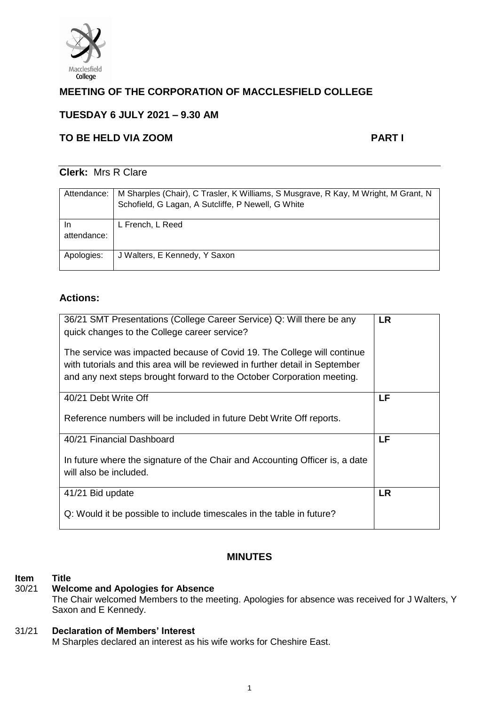

# **MEETING OF THE CORPORATION OF MACCLESFIELD COLLEGE**

# **TUESDAY 6 JULY 2021 – 9.30 AM**

# **TO BE HELD VIA ZOOM PART I**

## **Clerk:** Mrs R Clare

| Attendance:       | M Sharples (Chair), C Trasler, K Williams, S Musgrave, R Kay, M Wright, M Grant, N<br>Schofield, G Lagan, A Sutcliffe, P Newell, G White |
|-------------------|------------------------------------------------------------------------------------------------------------------------------------------|
| In<br>attendance: | L French, L Reed                                                                                                                         |
| Apologies:        | J Walters, E Kennedy, Y Saxon                                                                                                            |

## **Actions:**

| 36/21 SMT Presentations (College Career Service) Q: Will there be any<br>quick changes to the College career service?<br>The service was impacted because of Covid 19. The College will continue<br>with tutorials and this area will be reviewed in further detail in September | <b>LR</b> |
|----------------------------------------------------------------------------------------------------------------------------------------------------------------------------------------------------------------------------------------------------------------------------------|-----------|
| and any next steps brought forward to the October Corporation meeting.                                                                                                                                                                                                           |           |
| 40/21 Debt Write Off                                                                                                                                                                                                                                                             | LF        |
| Reference numbers will be included in future Debt Write Off reports.                                                                                                                                                                                                             |           |
| 40/21 Financial Dashboard                                                                                                                                                                                                                                                        | LF        |
| In future where the signature of the Chair and Accounting Officer is, a date<br>will also be included.                                                                                                                                                                           |           |
| 41/21 Bid update                                                                                                                                                                                                                                                                 | <b>LR</b> |
| Q: Would it be possible to include timescales in the table in future?                                                                                                                                                                                                            |           |

## **MINUTES**

#### **Item Title**

## 30/21 **Welcome and Apologies for Absence**

The Chair welcomed Members to the meeting. Apologies for absence was received for J Walters, Y Saxon and E Kennedy.

## 31/21 **Declaration of Members' Interest**

M Sharples declared an interest as his wife works for Cheshire East.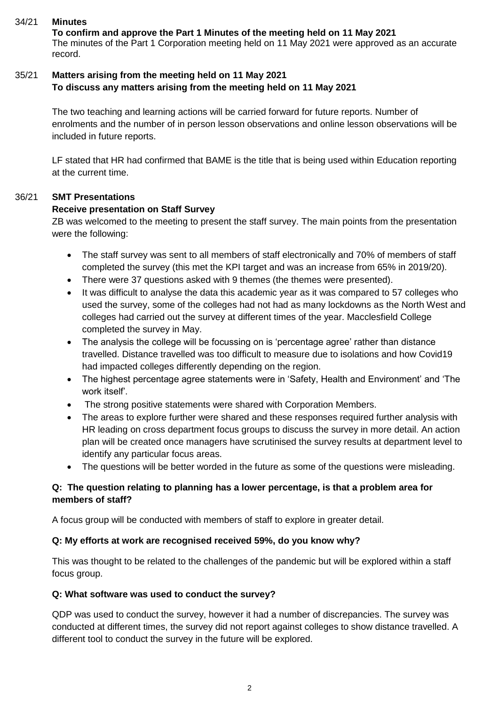### 34/21 **Minutes**

**To confirm and approve the Part 1 Minutes of the meeting held on 11 May 2021** The minutes of the Part 1 Corporation meeting held on 11 May 2021 were approved as an accurate record.

### 35/21 **Matters arising from the meeting held on 11 May 2021 To discuss any matters arising from the meeting held on 11 May 2021**

The two teaching and learning actions will be carried forward for future reports. Number of enrolments and the number of in person lesson observations and online lesson observations will be included in future reports.

LF stated that HR had confirmed that BAME is the title that is being used within Education reporting at the current time.

### 36/21 **SMT Presentations**

### **Receive presentation on Staff Survey**

ZB was welcomed to the meeting to present the staff survey. The main points from the presentation were the following:

- The staff survey was sent to all members of staff electronically and 70% of members of staff completed the survey (this met the KPI target and was an increase from 65% in 2019/20).
- There were 37 questions asked with 9 themes (the themes were presented).
- It was difficult to analyse the data this academic year as it was compared to 57 colleges who used the survey, some of the colleges had not had as many lockdowns as the North West and colleges had carried out the survey at different times of the year. Macclesfield College completed the survey in May.
- The analysis the college will be focussing on is 'percentage agree' rather than distance travelled. Distance travelled was too difficult to measure due to isolations and how Covid19 had impacted colleges differently depending on the region.
- The highest percentage agree statements were in 'Safety, Health and Environment' and 'The work itself'.
- The strong positive statements were shared with Corporation Members.
- The areas to explore further were shared and these responses required further analysis with HR leading on cross department focus groups to discuss the survey in more detail. An action plan will be created once managers have scrutinised the survey results at department level to identify any particular focus areas.
- The questions will be better worded in the future as some of the questions were misleading.

## **Q: The question relating to planning has a lower percentage, is that a problem area for members of staff?**

A focus group will be conducted with members of staff to explore in greater detail.

#### **Q: My efforts at work are recognised received 59%, do you know why?**

This was thought to be related to the challenges of the pandemic but will be explored within a staff focus group.

#### **Q: What software was used to conduct the survey?**

QDP was used to conduct the survey, however it had a number of discrepancies. The survey was conducted at different times, the survey did not report against colleges to show distance travelled. A different tool to conduct the survey in the future will be explored.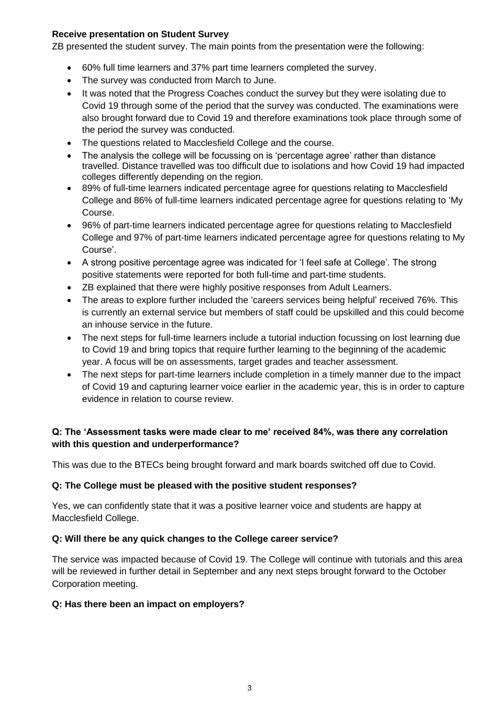#### **Receive presentation on Student Survey**

ZB presented the student survey. The main points from the presentation were the following:

- 60% full time learners and 37% part time learners completed the survey.
- The survey was conducted from March to June.
- It was noted that the Progress Coaches conduct the survey but they were isolating due to Covid 19 through some of the period that the survey was conducted. The examinations were also brought forward due to Covid 19 and therefore examinations took place through some of the period the survey was conducted.
- The questions related to Macclesfield College and the course.
- The analysis the college will be focussing on is 'percentage agree' rather than distance travelled. Distance travelled was too difficult due to isolations and how Covid 19 had impacted colleges differently depending on the region.
- 89% of full-time learners indicated percentage agree for questions relating to Macclesfield College and 86% of full-time learners indicated percentage agree for questions relating to 'My Course.
- 96% of part-time learners indicated percentage agree for questions relating to Macclesfield College and 97% of part-time learners indicated percentage agree for questions relating to My Course'.
- A strong positive percentage agree was indicated for 'I feel safe at College'. The strong positive statements were reported for both full-time and part-time students.
- ZB explained that there were highly positive responses from Adult Learners.
- The areas to explore further included the 'careers services being helpful' received 76%. This is currently an external service but members of staff could be upskilled and this could become an inhouse service in the future.
- The next steps for full-time learners include a tutorial induction focussing on lost learning due to Covid 19 and bring topics that require further learning to the beginning of the academic year. A focus will be on assessments, target grades and teacher assessment.
- The next steps for part-time learners include completion in a timely manner due to the impact of Covid 19 and capturing learner voice earlier in the academic year, this is in order to capture evidence in relation to course review.

## **Q: The 'Assessment tasks were made clear to me' received 84%, was there any correlation with this question and underperformance?**

This was due to the BTECs being brought forward and mark boards switched off due to Covid.

#### **Q: The College must be pleased with the positive student responses?**

Yes, we can confidently state that it was a positive learner voice and students are happy at Macclesfield College.

#### **Q: Will there be any quick changes to the College career service?**

The service was impacted because of Covid 19. The College will continue with tutorials and this area will be reviewed in further detail in September and any next steps brought forward to the October Corporation meeting.

#### **Q: Has there been an impact on employers?**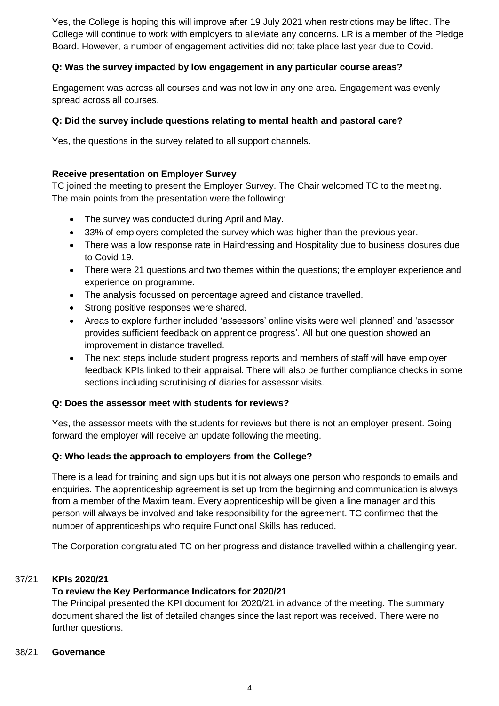Yes, the College is hoping this will improve after 19 July 2021 when restrictions may be lifted. The College will continue to work with employers to alleviate any concerns. LR is a member of the Pledge Board. However, a number of engagement activities did not take place last year due to Covid.

### **Q: Was the survey impacted by low engagement in any particular course areas?**

Engagement was across all courses and was not low in any one area. Engagement was evenly spread across all courses.

### **Q: Did the survey include questions relating to mental health and pastoral care?**

Yes, the questions in the survey related to all support channels.

#### **Receive presentation on Employer Survey**

TC joined the meeting to present the Employer Survey. The Chair welcomed TC to the meeting. The main points from the presentation were the following:

- The survey was conducted during April and May.
- 33% of employers completed the survey which was higher than the previous year.
- There was a low response rate in Hairdressing and Hospitality due to business closures due to Covid 19.
- There were 21 questions and two themes within the questions; the employer experience and experience on programme.
- The analysis focussed on percentage agreed and distance travelled.
- Strong positive responses were shared.
- Areas to explore further included 'assessors' online visits were well planned' and 'assessor provides sufficient feedback on apprentice progress'. All but one question showed an improvement in distance travelled.
- The next steps include student progress reports and members of staff will have employer feedback KPIs linked to their appraisal. There will also be further compliance checks in some sections including scrutinising of diaries for assessor visits.

#### **Q: Does the assessor meet with students for reviews?**

Yes, the assessor meets with the students for reviews but there is not an employer present. Going forward the employer will receive an update following the meeting.

#### **Q: Who leads the approach to employers from the College?**

There is a lead for training and sign ups but it is not always one person who responds to emails and enquiries. The apprenticeship agreement is set up from the beginning and communication is always from a member of the Maxim team. Every apprenticeship will be given a line manager and this person will always be involved and take responsibility for the agreement. TC confirmed that the number of apprenticeships who require Functional Skills has reduced.

The Corporation congratulated TC on her progress and distance travelled within a challenging year.

#### 37/21 **KPIs 2020/21**

## **To review the Key Performance Indicators for 2020/21**

The Principal presented the KPI document for 2020/21 in advance of the meeting. The summary document shared the list of detailed changes since the last report was received. There were no further questions.

#### 38/21 **Governance**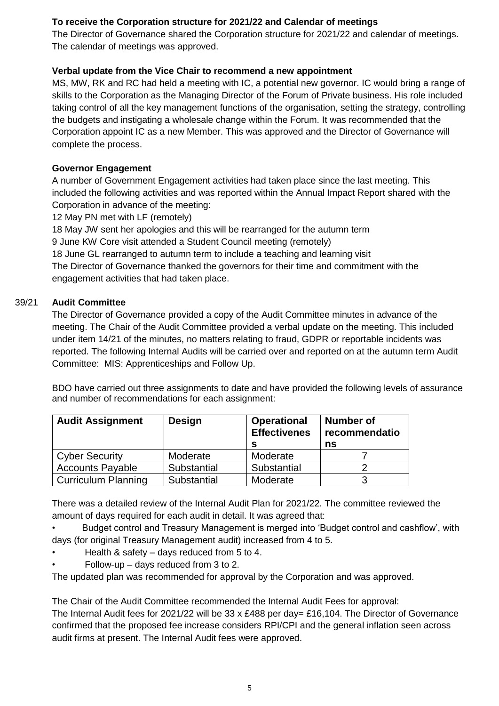## **To receive the Corporation structure for 2021/22 and Calendar of meetings**

The Director of Governance shared the Corporation structure for 2021/22 and calendar of meetings. The calendar of meetings was approved.

## **Verbal update from the Vice Chair to recommend a new appointment**

MS, MW, RK and RC had held a meeting with IC, a potential new governor. IC would bring a range of skills to the Corporation as the Managing Director of the Forum of Private business. His role included taking control of all the key management functions of the organisation, setting the strategy, controlling the budgets and instigating a wholesale change within the Forum. It was recommended that the Corporation appoint IC as a new Member. This was approved and the Director of Governance will complete the process.

## **Governor Engagement**

A number of Government Engagement activities had taken place since the last meeting. This included the following activities and was reported within the Annual Impact Report shared with the Corporation in advance of the meeting:

12 May PN met with LF (remotely)

18 May JW sent her apologies and this will be rearranged for the autumn term

9 June KW Core visit attended a Student Council meeting (remotely)

18 June GL rearranged to autumn term to include a teaching and learning visit The Director of Governance thanked the governors for their time and commitment with the engagement activities that had taken place.

## 39/21 **Audit Committee**

The Director of Governance provided a copy of the Audit Committee minutes in advance of the meeting. The Chair of the Audit Committee provided a verbal update on the meeting. This included under item 14/21 of the minutes, no matters relating to fraud, GDPR or reportable incidents was reported. The following Internal Audits will be carried over and reported on at the autumn term Audit Committee: MIS: Apprenticeships and Follow Up.

BDO have carried out three assignments to date and have provided the following levels of assurance and number of recommendations for each assignment:

| <b>Audit Assignment</b>    | Design      | <b>Operational</b><br><b>Effectivenes</b> | <b>Number of</b><br>recommendatio<br>ns |
|----------------------------|-------------|-------------------------------------------|-----------------------------------------|
| <b>Cyber Security</b>      | Moderate    | Moderate                                  |                                         |
| <b>Accounts Payable</b>    | Substantial | Substantial                               |                                         |
| <b>Curriculum Planning</b> | Substantial | Moderate                                  |                                         |

There was a detailed review of the Internal Audit Plan for 2021/22. The committee reviewed the amount of days required for each audit in detail. It was agreed that:

• Budget control and Treasury Management is merged into 'Budget control and cashflow', with days (for original Treasury Management audit) increased from 4 to 5.

- Health & safety days reduced from 5 to 4.
- Follow-up days reduced from 3 to 2.

The updated plan was recommended for approval by the Corporation and was approved.

The Chair of the Audit Committee recommended the Internal Audit Fees for approval:

The Internal Audit fees for 2021/22 will be 33 x £488 per day= £16,104. The Director of Governance confirmed that the proposed fee increase considers RPI/CPI and the general inflation seen across audit firms at present. The Internal Audit fees were approved.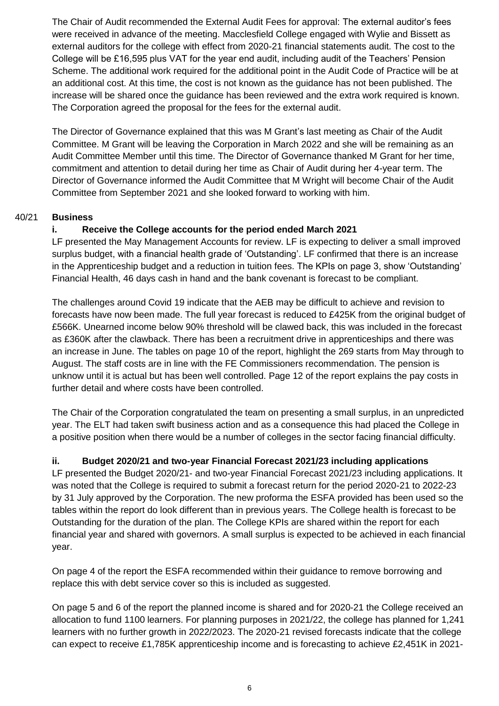The Chair of Audit recommended the External Audit Fees for approval: The external auditor's fees were received in advance of the meeting. Macclesfield College engaged with Wylie and Bissett as external auditors for the college with effect from 2020-21 financial statements audit. The cost to the College will be £16,595 plus VAT for the year end audit, including audit of the Teachers' Pension Scheme. The additional work required for the additional point in the Audit Code of Practice will be at an additional cost. At this time, the cost is not known as the guidance has not been published. The increase will be shared once the guidance has been reviewed and the extra work required is known. The Corporation agreed the proposal for the fees for the external audit.

The Director of Governance explained that this was M Grant's last meeting as Chair of the Audit Committee. M Grant will be leaving the Corporation in March 2022 and she will be remaining as an Audit Committee Member until this time. The Director of Governance thanked M Grant for her time, commitment and attention to detail during her time as Chair of Audit during her 4-year term. The Director of Governance informed the Audit Committee that M Wright will become Chair of the Audit Committee from September 2021 and she looked forward to working with him.

### 40/21 **Business**

## **i. Receive the College accounts for the period ended March 2021**

LF presented the May Management Accounts for review. LF is expecting to deliver a small improved surplus budget, with a financial health grade of 'Outstanding'. LF confirmed that there is an increase in the Apprenticeship budget and a reduction in tuition fees. The KPIs on page 3, show 'Outstanding' Financial Health, 46 days cash in hand and the bank covenant is forecast to be compliant.

The challenges around Covid 19 indicate that the AEB may be difficult to achieve and revision to forecasts have now been made. The full year forecast is reduced to £425K from the original budget of £566K. Unearned income below 90% threshold will be clawed back, this was included in the forecast as £360K after the clawback. There has been a recruitment drive in apprenticeships and there was an increase in June. The tables on page 10 of the report, highlight the 269 starts from May through to August. The staff costs are in line with the FE Commissioners recommendation. The pension is unknow until it is actual but has been well controlled. Page 12 of the report explains the pay costs in further detail and where costs have been controlled.

The Chair of the Corporation congratulated the team on presenting a small surplus, in an unpredicted year. The ELT had taken swift business action and as a consequence this had placed the College in a positive position when there would be a number of colleges in the sector facing financial difficulty.

## **ii. Budget 2020/21 and two-year Financial Forecast 2021/23 including applications**

LF presented the Budget 2020/21- and two-year Financial Forecast 2021/23 including applications. It was noted that the College is required to submit a forecast return for the period 2020-21 to 2022-23 by 31 July approved by the Corporation. The new proforma the ESFA provided has been used so the tables within the report do look different than in previous years. The College health is forecast to be Outstanding for the duration of the plan. The College KPIs are shared within the report for each financial year and shared with governors. A small surplus is expected to be achieved in each financial year.

On page 4 of the report the ESFA recommended within their guidance to remove borrowing and replace this with debt service cover so this is included as suggested.

On page 5 and 6 of the report the planned income is shared and for 2020-21 the College received an allocation to fund 1100 learners. For planning purposes in 2021/22, the college has planned for 1,241 learners with no further growth in 2022/2023. The 2020-21 revised forecasts indicate that the college can expect to receive £1,785K apprenticeship income and is forecasting to achieve £2,451K in 2021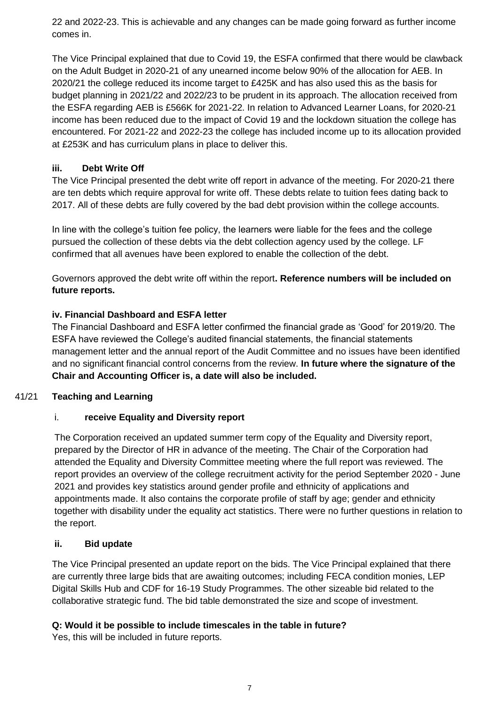22 and 2022-23. This is achievable and any changes can be made going forward as further income comes in.

The Vice Principal explained that due to Covid 19, the ESFA confirmed that there would be clawback on the Adult Budget in 2020-21 of any unearned income below 90% of the allocation for AEB. In 2020/21 the college reduced its income target to £425K and has also used this as the basis for budget planning in 2021/22 and 2022/23 to be prudent in its approach. The allocation received from the ESFA regarding AEB is £566K for 2021-22. In relation to Advanced Learner Loans, for 2020-21 income has been reduced due to the impact of Covid 19 and the lockdown situation the college has encountered. For 2021-22 and 2022-23 the college has included income up to its allocation provided at £253K and has curriculum plans in place to deliver this.

## **iii. Debt Write Off**

The Vice Principal presented the debt write off report in advance of the meeting. For 2020-21 there are ten debts which require approval for write off. These debts relate to tuition fees dating back to 2017. All of these debts are fully covered by the bad debt provision within the college accounts.

In line with the college's tuition fee policy, the learners were liable for the fees and the college pursued the collection of these debts via the debt collection agency used by the college. LF confirmed that all avenues have been explored to enable the collection of the debt.

Governors approved the debt write off within the report**. Reference numbers will be included on future reports.** 

## **iv. Financial Dashboard and ESFA letter**

The Financial Dashboard and ESFA letter confirmed the financial grade as 'Good' for 2019/20. The ESFA have reviewed the College's audited financial statements, the financial statements management letter and the annual report of the Audit Committee and no issues have been identified and no significant financial control concerns from the review. **In future where the signature of the Chair and Accounting Officer is, a date will also be included.**

## 41/21 **Teaching and Learning**

## i. **receive Equality and Diversity report**

The Corporation received an updated summer term copy of the Equality and Diversity report, prepared by the Director of HR in advance of the meeting. The Chair of the Corporation had attended the Equality and Diversity Committee meeting where the full report was reviewed. The report provides an overview of the college recruitment activity for the period September 2020 - June 2021 and provides key statistics around gender profile and ethnicity of applications and appointments made. It also contains the corporate profile of staff by age; gender and ethnicity together with disability under the equality act statistics. There were no further questions in relation to the report.

## **ii. Bid update**

The Vice Principal presented an update report on the bids. The Vice Principal explained that there are currently three large bids that are awaiting outcomes; including FECA condition monies, LEP Digital Skills Hub and CDF for 16-19 Study Programmes. The other sizeable bid related to the collaborative strategic fund. The bid table demonstrated the size and scope of investment.

## **Q: Would it be possible to include timescales in the table in future?**

Yes, this will be included in future reports.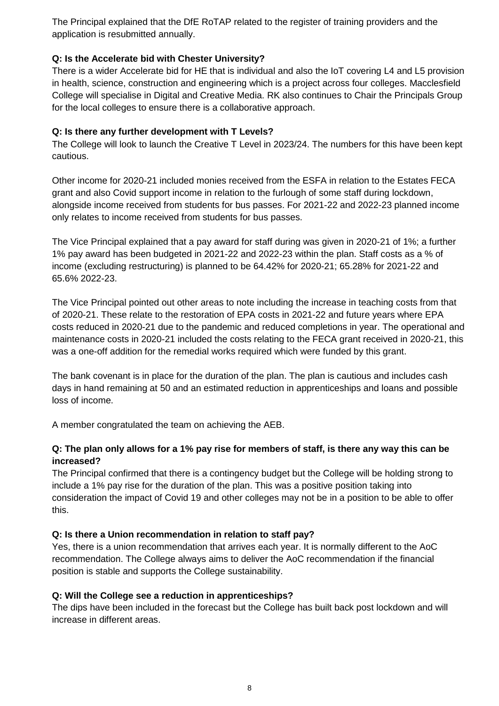The Principal explained that the DfE RoTAP related to the register of training providers and the application is resubmitted annually.

## **Q: Is the Accelerate bid with Chester University?**

There is a wider Accelerate bid for HE that is individual and also the IoT covering L4 and L5 provision in health, science, construction and engineering which is a project across four colleges. Macclesfield College will specialise in Digital and Creative Media. RK also continues to Chair the Principals Group for the local colleges to ensure there is a collaborative approach.

### **Q: Is there any further development with T Levels?**

The College will look to launch the Creative T Level in 2023/24. The numbers for this have been kept cautious.

Other income for 2020-21 included monies received from the ESFA in relation to the Estates FECA grant and also Covid support income in relation to the furlough of some staff during lockdown, alongside income received from students for bus passes. For 2021-22 and 2022-23 planned income only relates to income received from students for bus passes.

The Vice Principal explained that a pay award for staff during was given in 2020-21 of 1%; a further 1% pay award has been budgeted in 2021-22 and 2022-23 within the plan. Staff costs as a % of income (excluding restructuring) is planned to be 64.42% for 2020-21; 65.28% for 2021-22 and 65.6% 2022-23.

The Vice Principal pointed out other areas to note including the increase in teaching costs from that of 2020-21. These relate to the restoration of EPA costs in 2021-22 and future years where EPA costs reduced in 2020-21 due to the pandemic and reduced completions in year. The operational and maintenance costs in 2020-21 included the costs relating to the FECA grant received in 2020-21, this was a one-off addition for the remedial works required which were funded by this grant.

The bank covenant is in place for the duration of the plan. The plan is cautious and includes cash days in hand remaining at 50 and an estimated reduction in apprenticeships and loans and possible loss of income.

A member congratulated the team on achieving the AEB.

## **Q: The plan only allows for a 1% pay rise for members of staff, is there any way this can be increased?**

The Principal confirmed that there is a contingency budget but the College will be holding strong to include a 1% pay rise for the duration of the plan. This was a positive position taking into consideration the impact of Covid 19 and other colleges may not be in a position to be able to offer this.

## **Q: Is there a Union recommendation in relation to staff pay?**

Yes, there is a union recommendation that arrives each year. It is normally different to the AoC recommendation. The College always aims to deliver the AoC recommendation if the financial position is stable and supports the College sustainability.

## **Q: Will the College see a reduction in apprenticeships?**

The dips have been included in the forecast but the College has built back post lockdown and will increase in different areas.